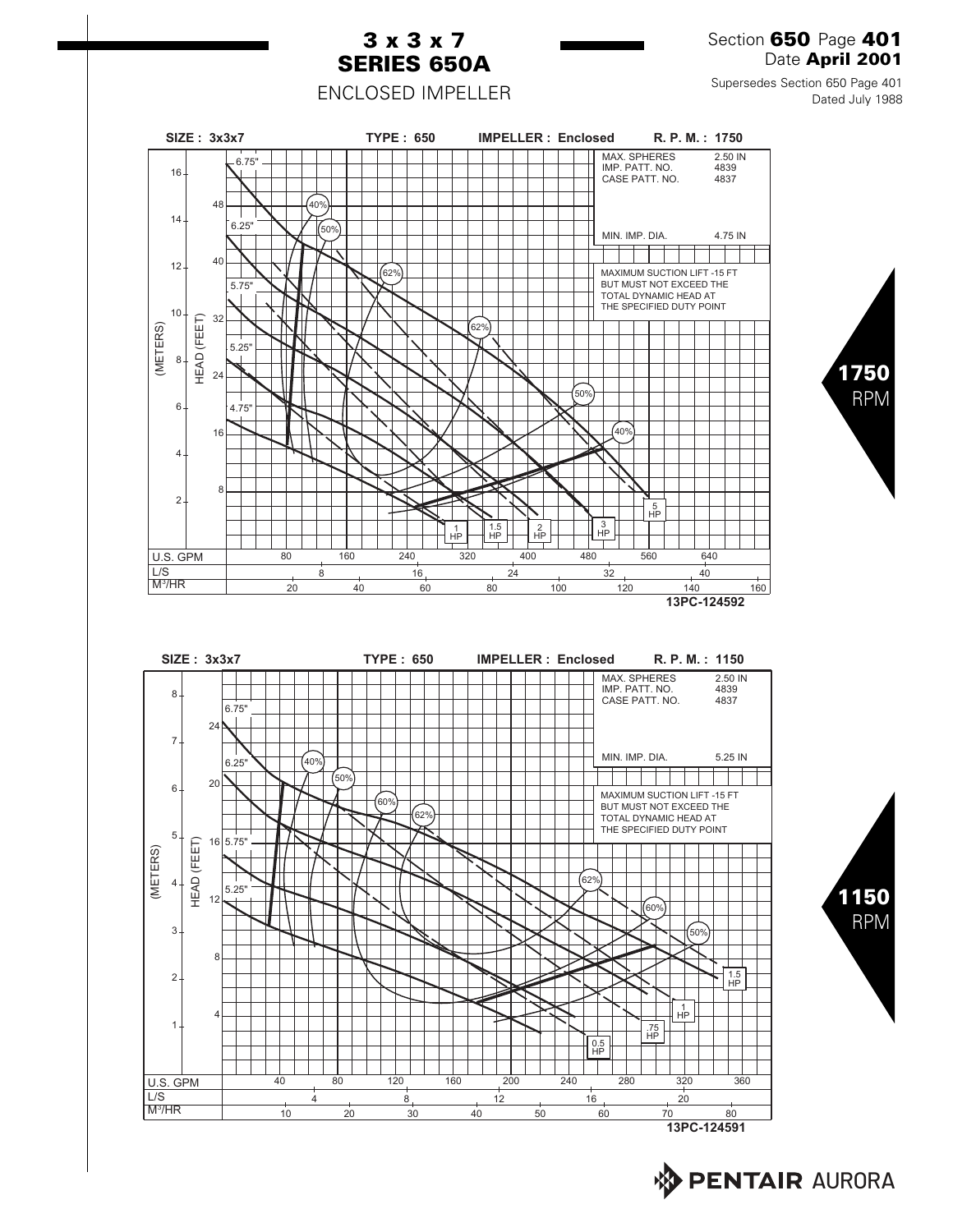

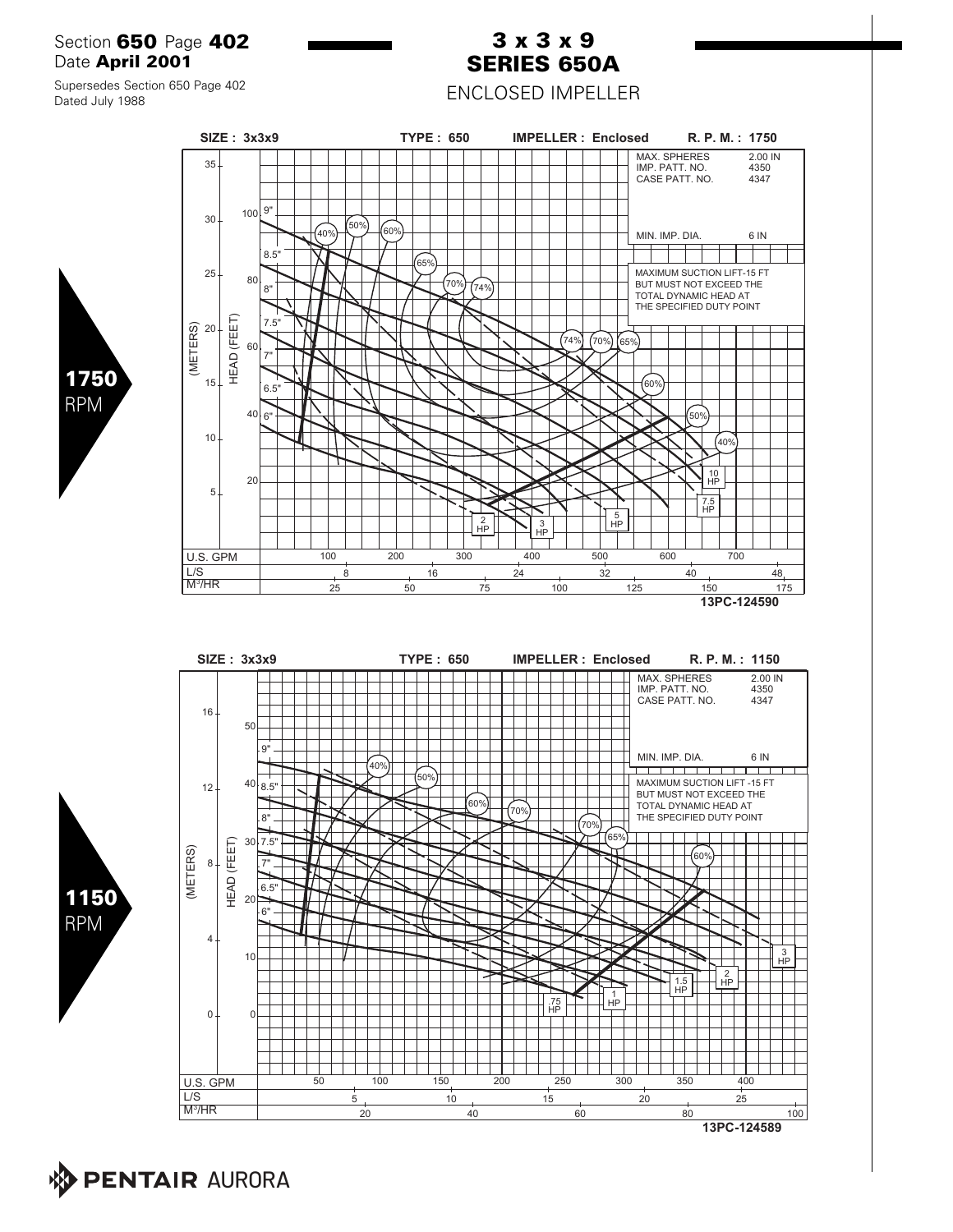### Section **650** Page **402** Date **April 2001**

Supersedes Section 650 Page 402

Dated July 1988

# **3 x 3 x 9 SERIES 650A**

ENCLOSED IMPELLER









**PENTAIR AURORA**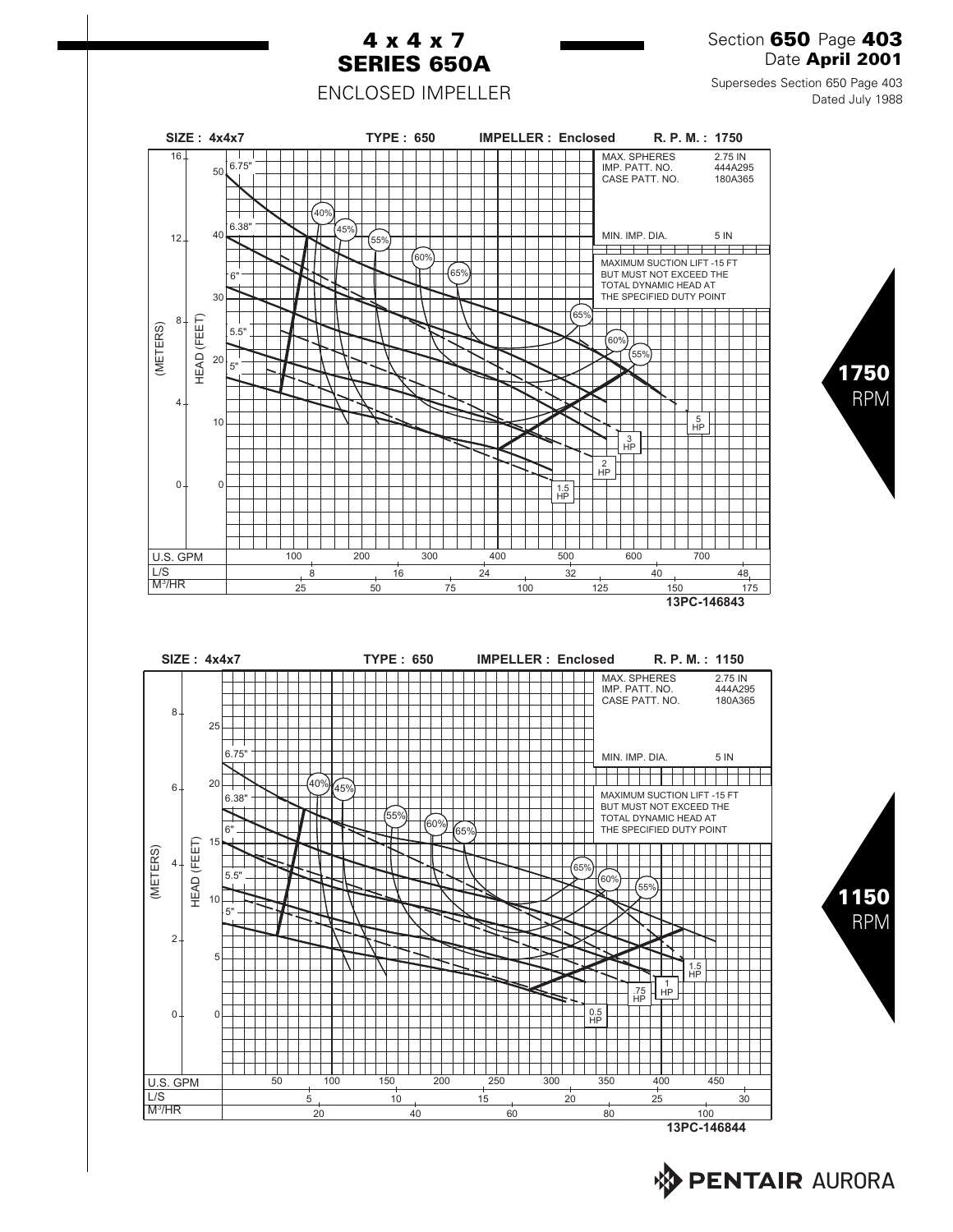

**AV PENTAIR AURORA**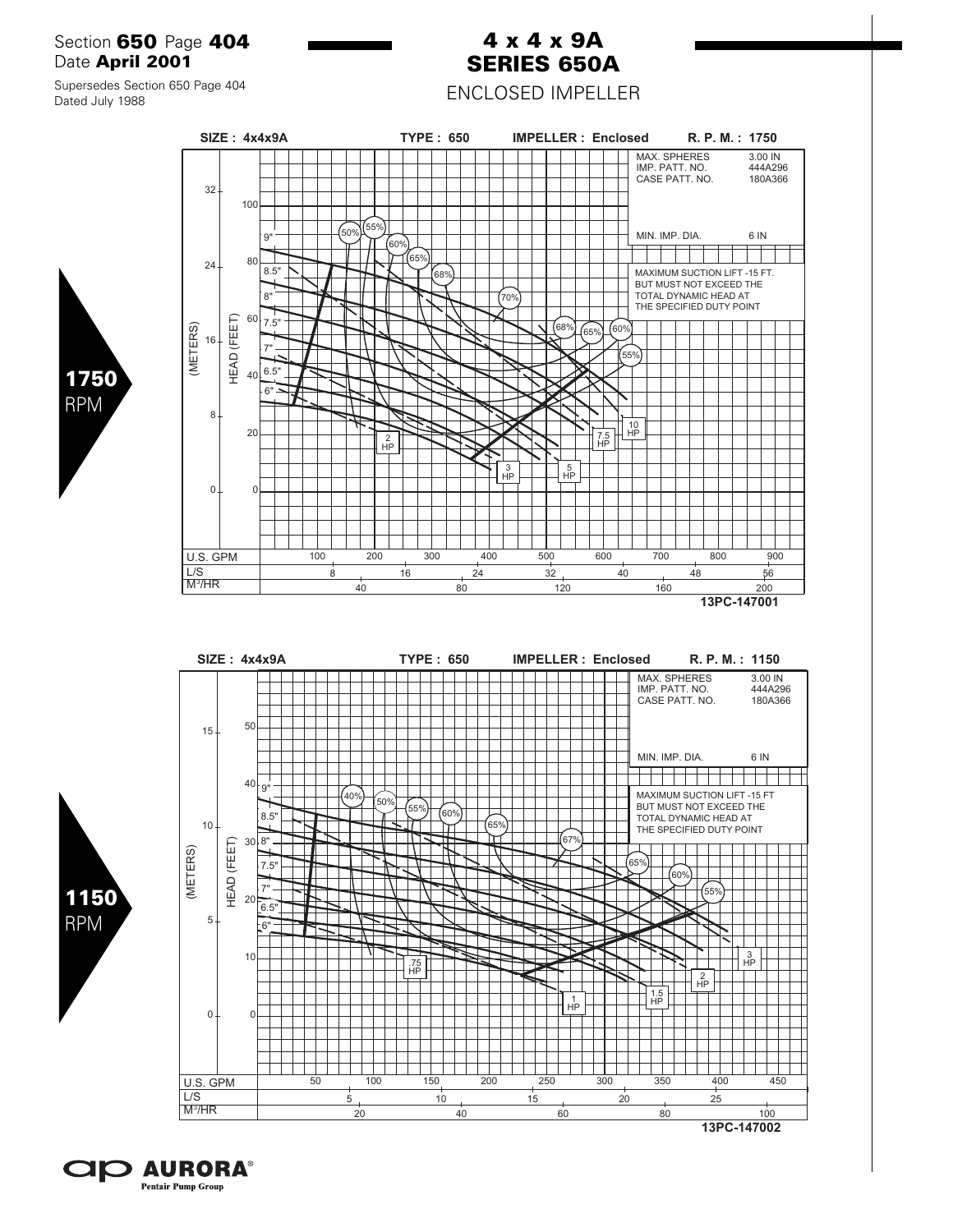### Section **650** Page **404** Date **April 2001**

#### Supersedes Section 650 Page 404 Dated July 1988



**4 x 4 x 9A SERIES 650A** ENCLOSED IMPELLER

40 80 120 160 200 **13PC-147001**





**1750** RPM

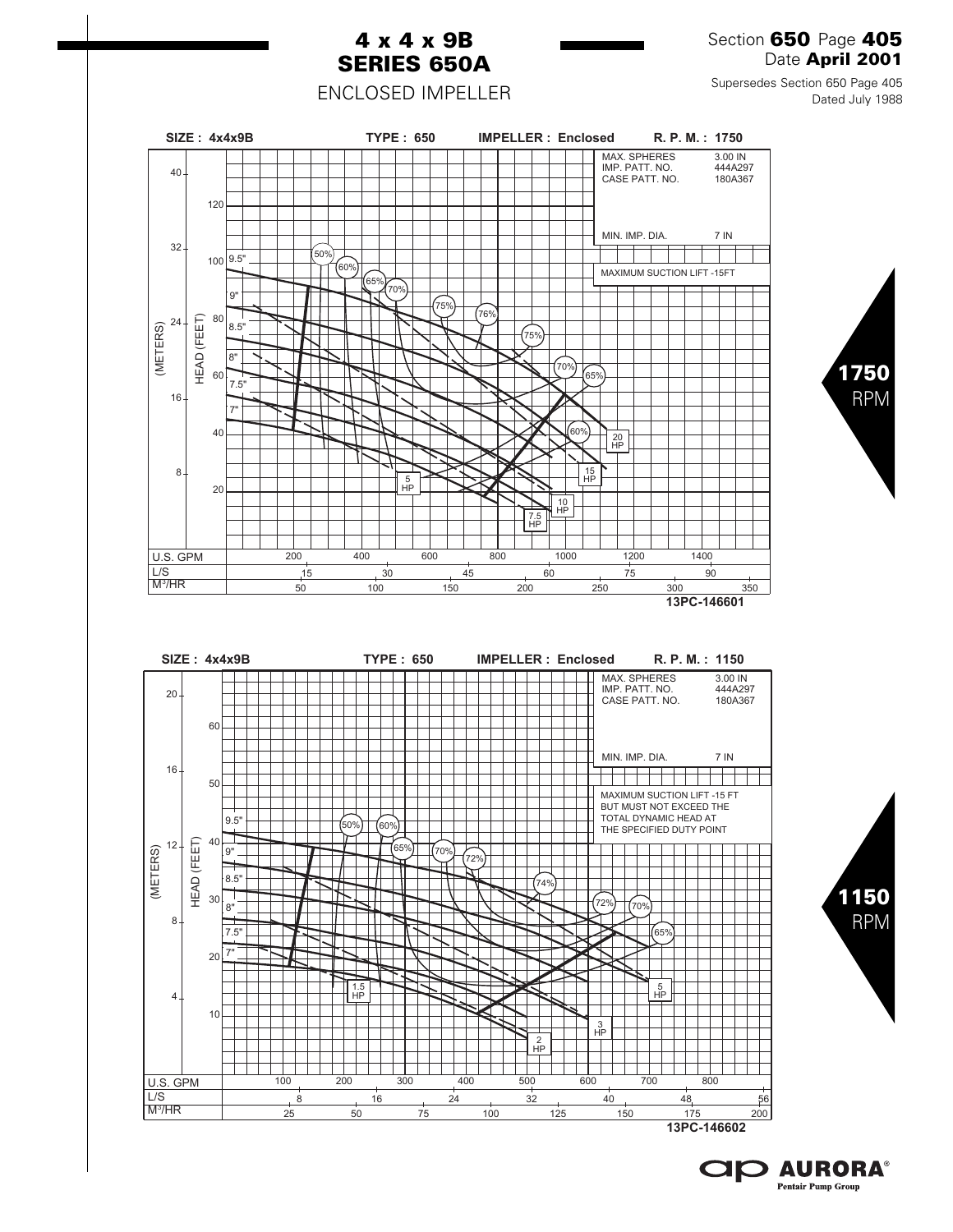

**13PC-146602**

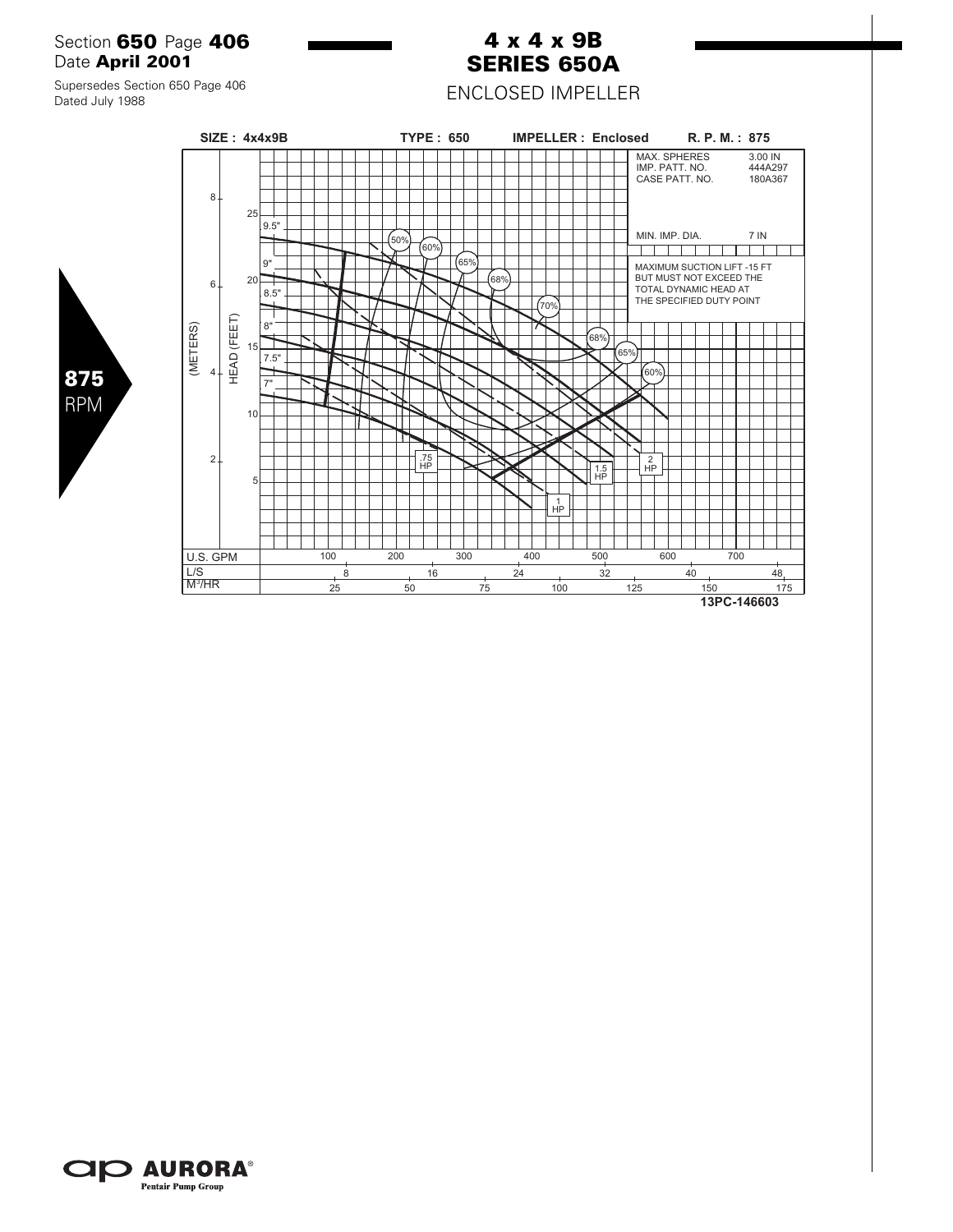### Section **650** Page **406** Date **April 2001**

#### Supersedes Section 650 Page 406 Dated July 1988

**875** RPM



**4 x 4 x 9B SERIES 650A** ENCLOSED IMPELLER

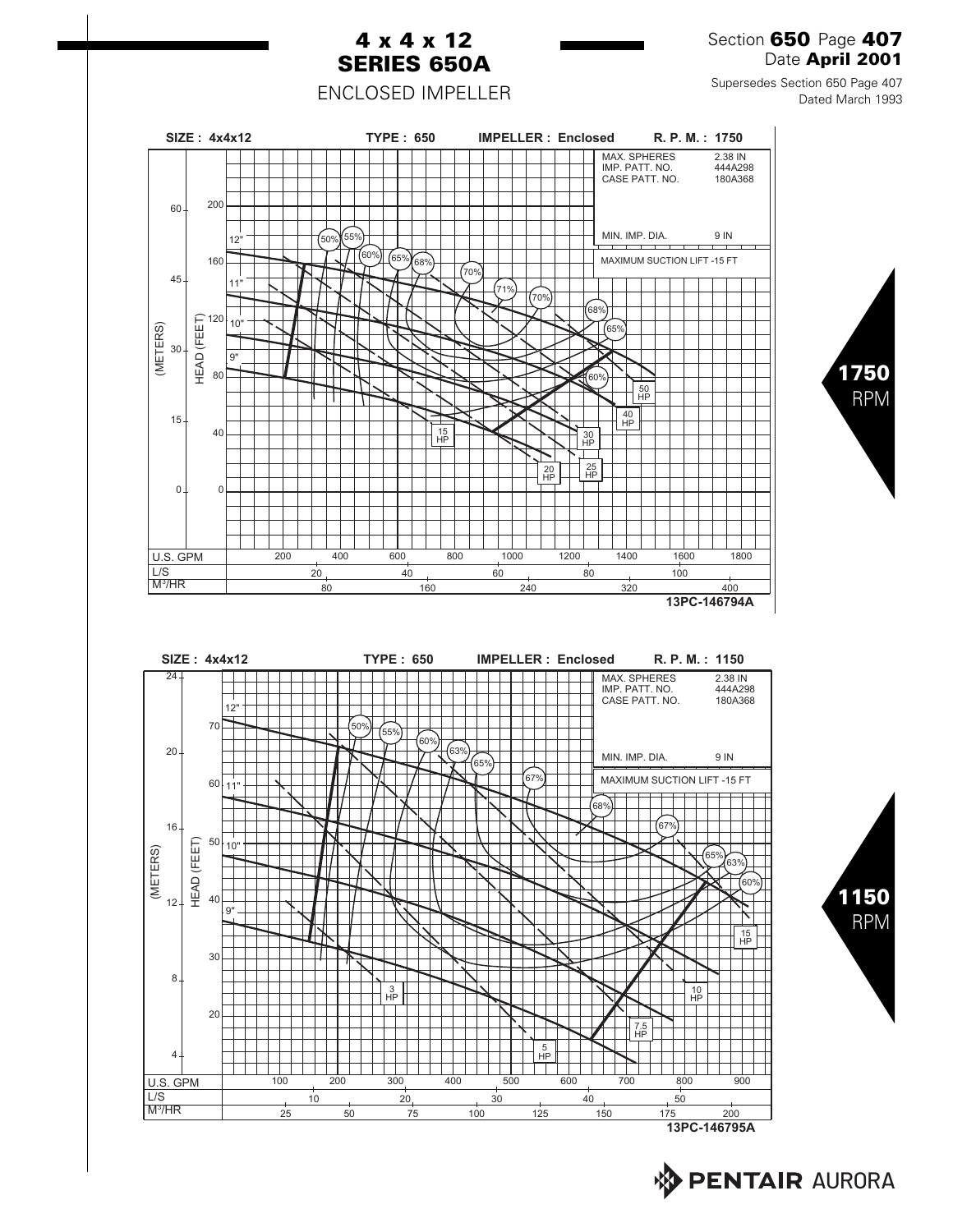

**BENTAIR AURORA**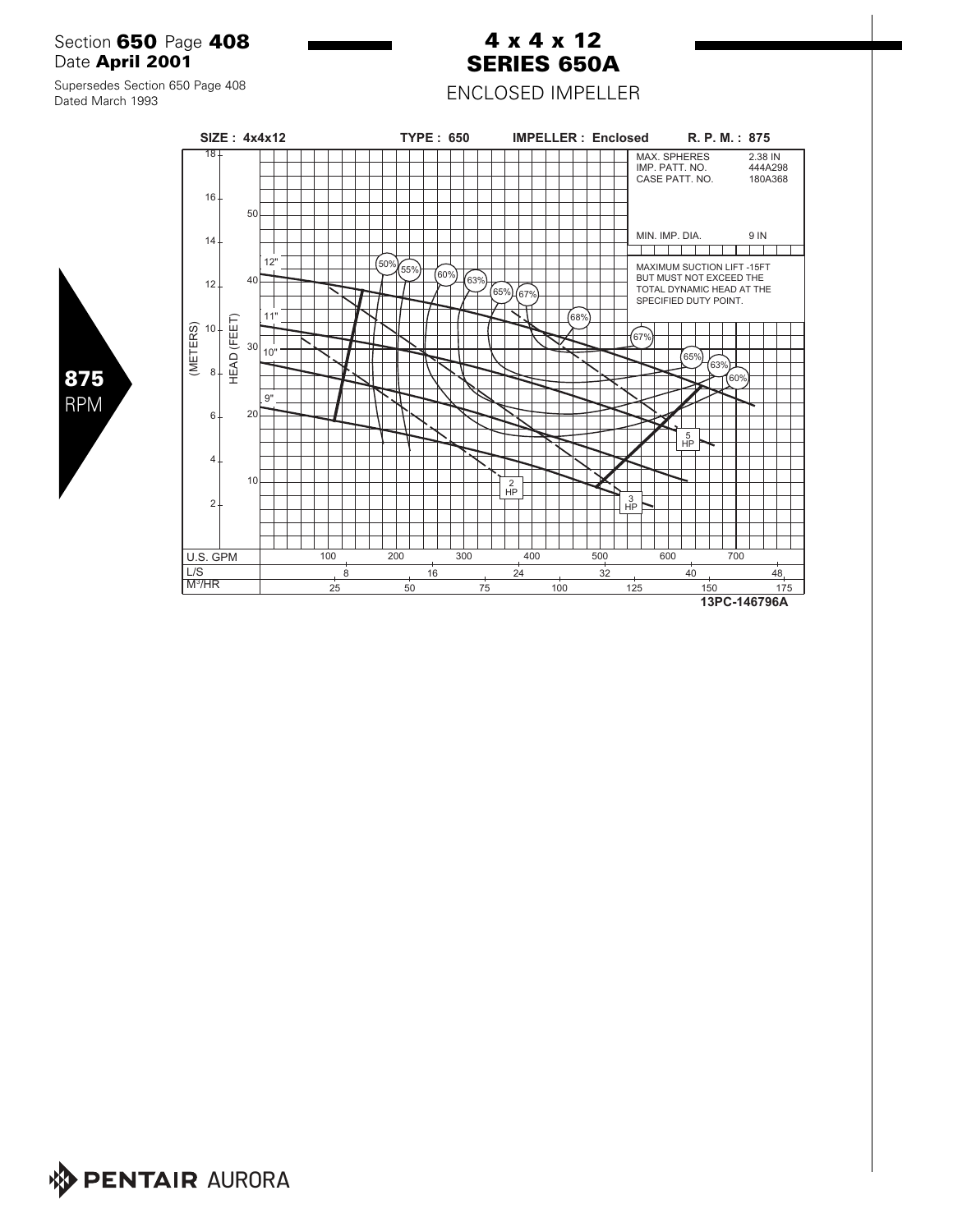### Section **650** Page **408** Date **April 2001**

#### Supersedes Section 650 Page 408 Dated March 1993

**875** RPM

M<sup>3</sup>/HR

L/S



**4 x 4 x 12 SERIES 650A** ENCLOSED IMPELLER

8 16 24 32 40 48

25 50 75 100 125 150 175 **13PC-146796A**

**PENTAIR AURORA**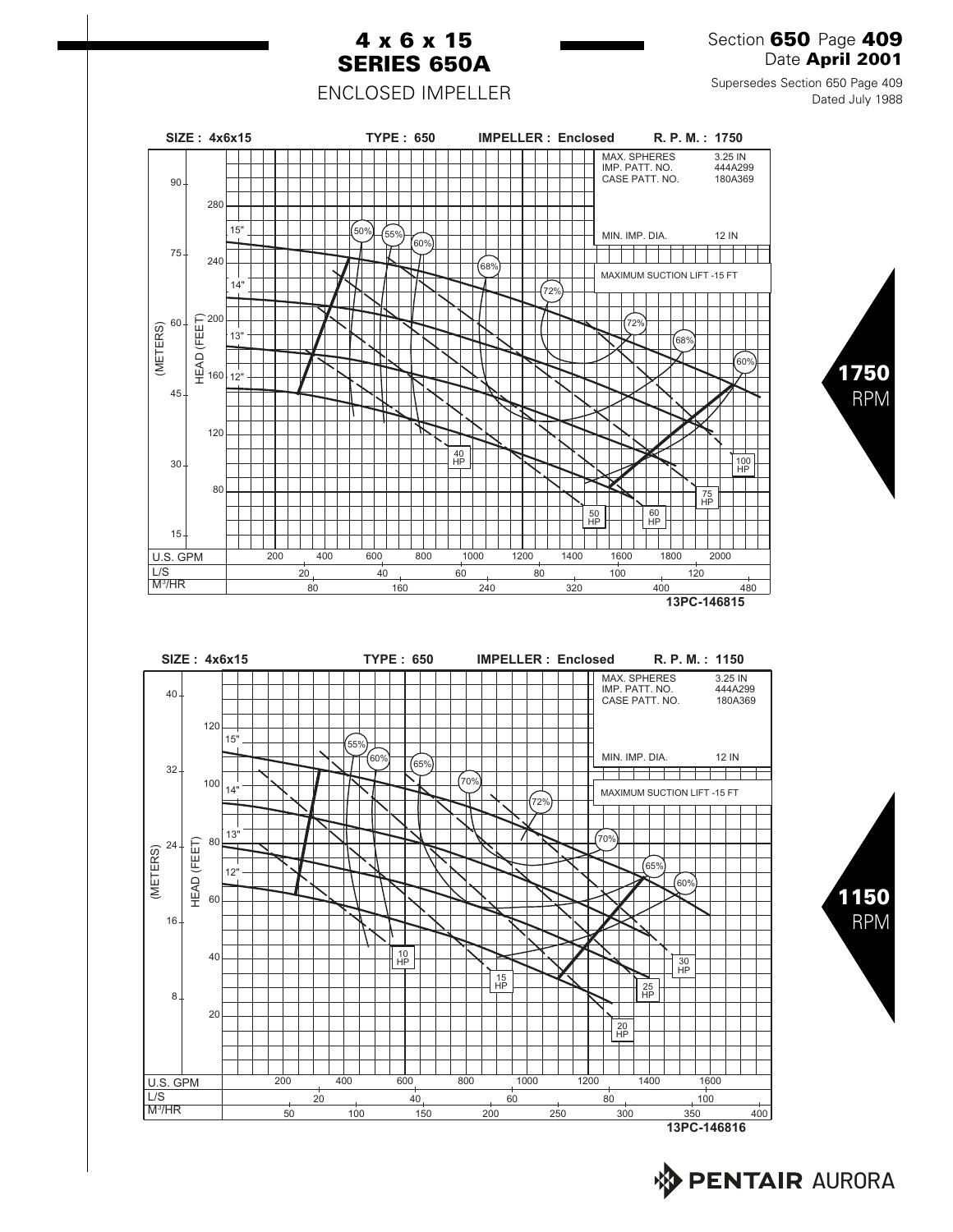